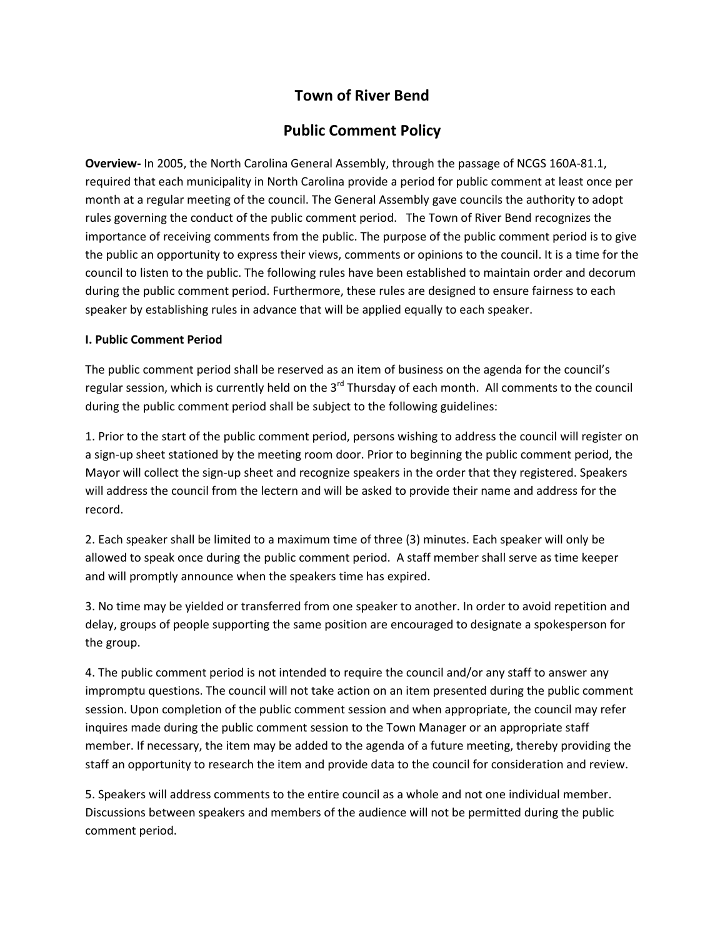## Town of River Bend

## Public Comment Policy

Overview- In 2005, the North Carolina General Assembly, through the passage of NCGS 160A-81.1, required that each municipality in North Carolina provide a period for public comment at least once per month at a regular meeting of the council. The General Assembly gave councils the authority to adopt rules governing the conduct of the public comment period. The Town of River Bend recognizes the importance of receiving comments from the public. The purpose of the public comment period is to give the public an opportunity to express their views, comments or opinions to the council. It is a time for the council to listen to the public. The following rules have been established to maintain order and decorum during the public comment period. Furthermore, these rules are designed to ensure fairness to each speaker by establishing rules in advance that will be applied equally to each speaker.

## I. Public Comment Period

The public comment period shall be reserved as an item of business on the agenda for the council's regular session, which is currently held on the 3<sup>rd</sup> Thursday of each month. All comments to the council during the public comment period shall be subject to the following guidelines:

1. Prior to the start of the public comment period, persons wishing to address the council will register on a sign-up sheet stationed by the meeting room door. Prior to beginning the public comment period, the Mayor will collect the sign-up sheet and recognize speakers in the order that they registered. Speakers will address the council from the lectern and will be asked to provide their name and address for the record.

2. Each speaker shall be limited to a maximum time of three (3) minutes. Each speaker will only be allowed to speak once during the public comment period. A staff member shall serve as time keeper and will promptly announce when the speakers time has expired.

3. No time may be yielded or transferred from one speaker to another. In order to avoid repetition and delay, groups of people supporting the same position are encouraged to designate a spokesperson for the group.

4. The public comment period is not intended to require the council and/or any staff to answer any impromptu questions. The council will not take action on an item presented during the public comment session. Upon completion of the public comment session and when appropriate, the council may refer inquires made during the public comment session to the Town Manager or an appropriate staff member. If necessary, the item may be added to the agenda of a future meeting, thereby providing the staff an opportunity to research the item and provide data to the council for consideration and review.

5. Speakers will address comments to the entire council as a whole and not one individual member. Discussions between speakers and members of the audience will not be permitted during the public comment period.